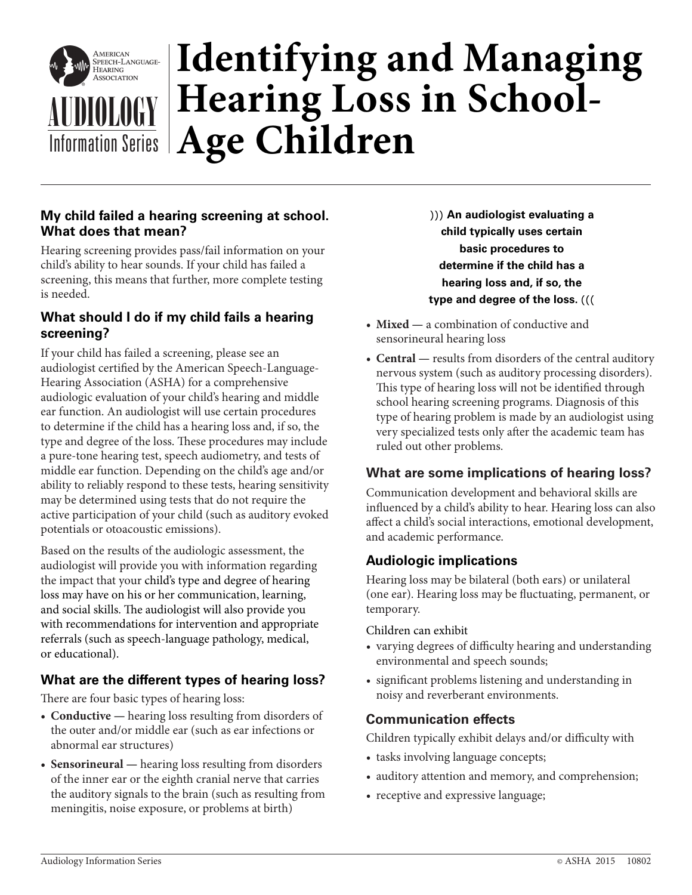

# **Identifying and Managing Hearing Loss in School-AUDIOLOGY Fiearing Loss**<br>Information Series **Age Children**

### **My child failed a hearing screening at school. What does that mean?**

Hearing screening provides pass/fail information on your child's ability to hear sounds. If your child has failed a screening, this means that further, more complete testing is needed.

#### **What should I do if my child fails a hearing screening?**

If your child has failed a screening, please see an audiologist certified by the American Speech-Language-Hearing Association (ASHA) for a comprehensive audiologic evaluation of your child's hearing and middle ear function. An audiologist will use certain procedures to determine if the child has a hearing loss and, if so, the type and degree of the loss. These procedures may include a pure-tone hearing test, speech audiometry, and tests of middle ear function. Depending on the child's age and/or ability to reliably respond to these tests, hearing sensitivity may be determined using tests that do not require the active participation of your child (such as auditory evoked potentials or otoacoustic emissions).

Based on the results of the audiologic assessment, the audiologist will provide you with information regarding the impact that your child's type and degree of hearing loss may have on his or her communication, learning, and social skills. The audiologist will also provide you with recommendations for intervention and appropriate referrals (such as speech-language pathology, medical, or educational).

# **What are the different types of hearing loss?**

There are four basic types of hearing loss:

- **• Conductive** hearing loss resulting from disorders of the outer and/or middle ear (such as ear infections or abnormal ear structures)
- **• Sensorineural** hearing loss resulting from disorders of the inner ear or the eighth cranial nerve that carries the auditory signals to the brain (such as resulting from meningitis, noise exposure, or problems at birth)

))) **An audiologist evaluating a child typically uses certain basic procedures to determine if the child has a hearing loss and, if so, the type and degree of the loss.** (((

- **• Mixed** a combination of conductive and sensorineural hearing loss
- **• Central** results from disorders of the central auditory nervous system (such as auditory processing disorders). This type of hearing loss will not be identified through school hearing screening programs. Diagnosis of this type of hearing problem is made by an audiologist using very specialized tests only after the academic team has ruled out other problems.

# **What are some implications of hearing loss?**

Communication development and behavioral skills are influenced by a child's ability to hear. Hearing loss can also affect a child's social interactions, emotional development, and academic performance.

# **Audiologic implications**

Hearing loss may be bilateral (both ears) or unilateral (one ear). Hearing loss may be fluctuating, permanent, or temporary.

Children can exhibit

- varying degrees of difficulty hearing and understanding environmental and speech sounds;
- significant problems listening and understanding in noisy and reverberant environments.

#### **Communication effects**

Children typically exhibit delays and/or difficulty with

- tasks involving language concepts;
- auditory attention and memory, and comprehension;
- receptive and expressive language;